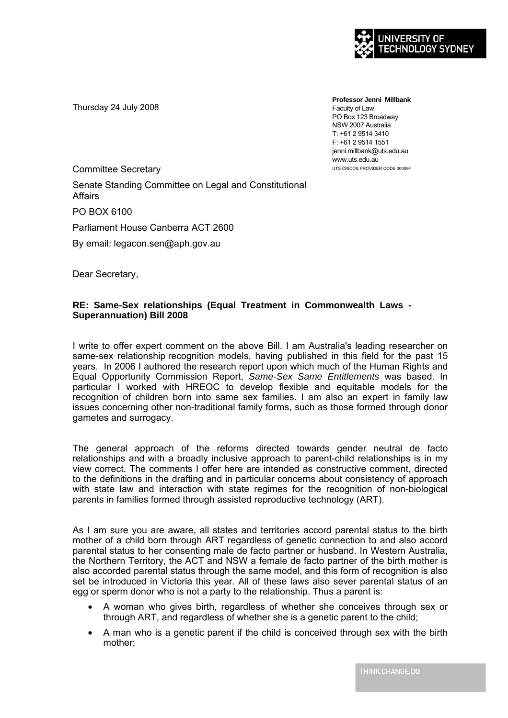Thursday 24 July 2008

**Professor Jenni Millbank**  Faculty of Law PO Box 123 Broadway NSW 2007 Australia T: +61 2 9514 3410 F: +61 2 9514 1551 jenni.millbank@uts.edu.au www.uts.edu.au UTS CRICOS PROVIDER CODE 00099F

Committee Secretary

Senate Standing Committee on Legal and Constitutional Affairs

PO BOX 6100

Parliament House Canberra ACT 2600

By email: legacon.sen@aph.gov.au

Dear Secretary,

# **RE: Same-Sex relationships (Equal Treatment in Commonwealth Laws - Superannuation) Bill 2008**

I write to offer expert comment on the above Bill. I am Australia's leading researcher on same-sex relationship recognition models, having published in this field for the past 15 years. In 2006 I authored the research report upon which much of the Human Rights and Equal Opportunity Commission Report, *Same-Sex Same Entitlements* was based. In particular I worked with HREOC to develop flexible and equitable models for the recognition of children born into same sex families. I am also an expert in family law issues concerning other non-traditional family forms, such as those formed through donor gametes and surrogacy.

The general approach of the reforms directed towards gender neutral de facto relationships and with a broadly inclusive approach to parent-child relationships is in my view correct. The comments I offer here are intended as constructive comment, directed to the definitions in the drafting and in particular concerns about consistency of approach with state law and interaction with state regimes for the recognition of non-biological parents in families formed through assisted reproductive technology (ART).

As I am sure you are aware, all states and territories accord parental status to the birth mother of a child born through ART regardless of genetic connection to and also accord parental status to her consenting male de facto partner or husband. In Western Australia, the Northern Territory, the ACT and NSW a female de facto partner of the birth mother is also accorded parental status through the same model, and this form of recognition is also set be introduced in Victoria this year. All of these laws also sever parental status of an egg or sperm donor who is not a party to the relationship. Thus a parent is:

- A woman who gives birth, regardless of whether she conceives through sex or through ART, and regardless of whether she is a genetic parent to the child;
- A man who is a genetic parent if the child is conceived through sex with the birth mother;

THINK.CHANGE.DO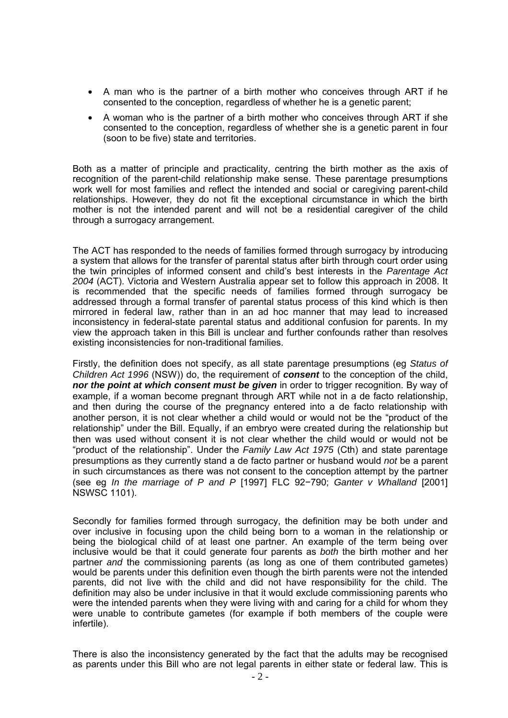- A man who is the partner of a birth mother who conceives through ART if he consented to the conception, regardless of whether he is a genetic parent;
- A woman who is the partner of a birth mother who conceives through ART if she consented to the conception, regardless of whether she is a genetic parent in four (soon to be five) state and territories.

Both as a matter of principle and practicality, centring the birth mother as the axis of recognition of the parent-child relationship make sense. These parentage presumptions work well for most families and reflect the intended and social or caregiving parent-child relationships. However, they do not fit the exceptional circumstance in which the birth mother is not the intended parent and will not be a residential caregiver of the child through a surrogacy arrangement.

The ACT has responded to the needs of families formed through surrogacy by introducing a system that allows for the transfer of parental status after birth through court order using the twin principles of informed consent and child's best interests in the *Parentage Act 2004* (ACT). Victoria and Western Australia appear set to follow this approach in 2008. It is recommended that the specific needs of families formed through surrogacy be addressed through a formal transfer of parental status process of this kind which is then mirrored in federal law, rather than in an ad hoc manner that may lead to increased inconsistency in federal-state parental status and additional confusion for parents. In my view the approach taken in this Bill is unclear and further confounds rather than resolves existing inconsistencies for non-traditional families.

Firstly, the definition does not specify, as all state parentage presumptions (eg *Status of Children Act 1996* (NSW)) do, the requirement of *consent* to the conception of the child, *nor the point at which consent must be given* in order to trigger recognition. By way of example, if a woman become pregnant through ART while not in a de facto relationship, and then during the course of the pregnancy entered into a de facto relationship with another person, it is not clear whether a child would or would not be the "product of the relationship" under the Bill. Equally, if an embryo were created during the relationship but then was used without consent it is not clear whether the child would or would not be "product of the relationship". Under the *Family Law Act 1975* (Cth) and state parentage presumptions as they currently stand a de facto partner or husband would *not* be a parent in such circumstances as there was not consent to the conception attempt by the partner (see eg *In the marriage of P and P* [1997] FLC 92−790; *Ganter v Whalland* [2001] NSWSC 1101).

Secondly for families formed through surrogacy, the definition may be both under and over inclusive in focusing upon the child being born to a woman in the relationship or being the biological child of at least one partner. An example of the term being over inclusive would be that it could generate four parents as *both* the birth mother and her partner *and* the commissioning parents (as long as one of them contributed gametes) would be parents under this definition even though the birth parents were not the intended parents, did not live with the child and did not have responsibility for the child. The definition may also be under inclusive in that it would exclude commissioning parents who were the intended parents when they were living with and caring for a child for whom they were unable to contribute gametes (for example if both members of the couple were infertile).

There is also the inconsistency generated by the fact that the adults may be recognised as parents under this Bill who are not legal parents in either state or federal law. This is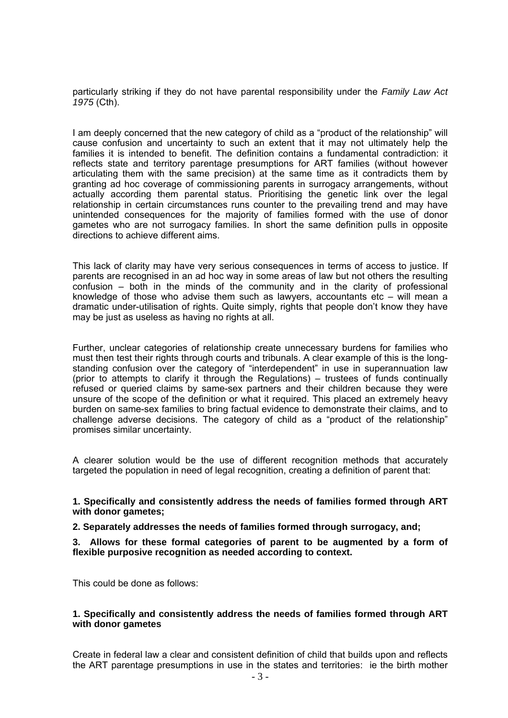particularly striking if they do not have parental responsibility under the *Family Law Act 1975* (Cth).

I am deeply concerned that the new category of child as a "product of the relationship" will cause confusion and uncertainty to such an extent that it may not ultimately help the families it is intended to benefit. The definition contains a fundamental contradiction: it reflects state and territory parentage presumptions for ART families (without however articulating them with the same precision) at the same time as it contradicts them by granting ad hoc coverage of commissioning parents in surrogacy arrangements, without actually according them parental status. Prioritising the genetic link over the legal relationship in certain circumstances runs counter to the prevailing trend and may have unintended consequences for the majority of families formed with the use of donor gametes who are not surrogacy families. In short the same definition pulls in opposite directions to achieve different aims.

This lack of clarity may have very serious consequences in terms of access to justice. If parents are recognised in an ad hoc way in some areas of law but not others the resulting confusion – both in the minds of the community and in the clarity of professional knowledge of those who advise them such as lawyers, accountants etc – will mean a dramatic under-utilisation of rights. Quite simply, rights that people don't know they have may be just as useless as having no rights at all.

Further, unclear categories of relationship create unnecessary burdens for families who must then test their rights through courts and tribunals. A clear example of this is the longstanding confusion over the category of "interdependent" in use in superannuation law (prior to attempts to clarify it through the Regulations) – trustees of funds continually refused or queried claims by same-sex partners and their children because they were unsure of the scope of the definition or what it required. This placed an extremely heavy burden on same-sex families to bring factual evidence to demonstrate their claims, and to challenge adverse decisions. The category of child as a "product of the relationship" promises similar uncertainty.

A clearer solution would be the use of different recognition methods that accurately targeted the population in need of legal recognition, creating a definition of parent that:

# **1. Specifically and consistently address the needs of families formed through ART with donor gametes;**

**2. Separately addresses the needs of families formed through surrogacy, and;** 

**3. Allows for these formal categories of parent to be augmented by a form of flexible purposive recognition as needed according to context.** 

This could be done as follows:

# **1. Specifically and consistently address the needs of families formed through ART with donor gametes**

Create in federal law a clear and consistent definition of child that builds upon and reflects the ART parentage presumptions in use in the states and territories: ie the birth mother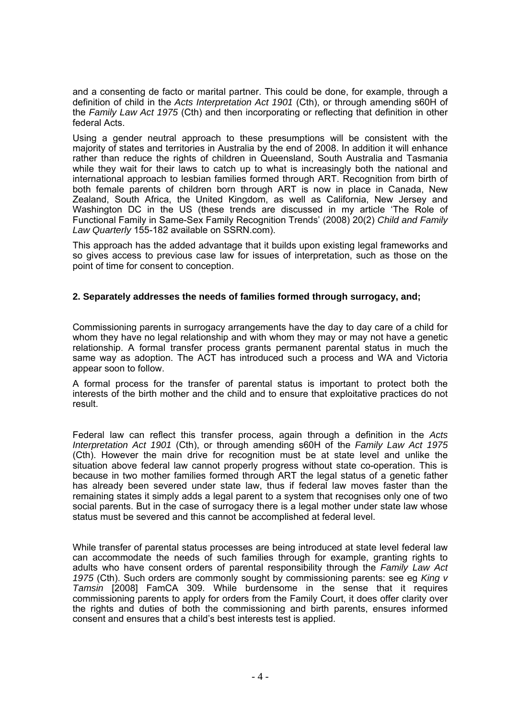and a consenting de facto or marital partner. This could be done, for example, through a definition of child in the *Acts Interpretation Act 1901* (Cth), or through amending s60H of the *Family Law Act 1975* (Cth) and then incorporating or reflecting that definition in other federal Acts.

Using a gender neutral approach to these presumptions will be consistent with the majority of states and territories in Australia by the end of 2008. In addition it will enhance rather than reduce the rights of children in Queensland, South Australia and Tasmania while they wait for their laws to catch up to what is increasingly both the national and international approach to lesbian families formed through ART. Recognition from birth of both female parents of children born through ART is now in place in Canada, New Zealand, South Africa, the United Kingdom, as well as California, New Jersey and Washington DC in the US (these trends are discussed in my article 'The Role of Functional Family in Same-Sex Family Recognition Trends' (2008) 20(2) *Child and Family Law Quarterly* 155-182 available on SSRN.com).

This approach has the added advantage that it builds upon existing legal frameworks and so gives access to previous case law for issues of interpretation, such as those on the point of time for consent to conception.

# **2. Separately addresses the needs of families formed through surrogacy, and;**

Commissioning parents in surrogacy arrangements have the day to day care of a child for whom they have no legal relationship and with whom they may or may not have a genetic relationship. A formal transfer process grants permanent parental status in much the same way as adoption. The ACT has introduced such a process and WA and Victoria appear soon to follow.

A formal process for the transfer of parental status is important to protect both the interests of the birth mother and the child and to ensure that exploitative practices do not result.

Federal law can reflect this transfer process, again through a definition in the *Acts Interpretation Act 1901* (Cth), or through amending s60H of the *Family Law Act 1975*  (Cth). However the main drive for recognition must be at state level and unlike the situation above federal law cannot properly progress without state co-operation. This is because in two mother families formed through ART the legal status of a genetic father has already been severed under state law, thus if federal law moves faster than the remaining states it simply adds a legal parent to a system that recognises only one of two social parents. But in the case of surrogacy there is a legal mother under state law whose status must be severed and this cannot be accomplished at federal level.

While transfer of parental status processes are being introduced at state level federal law can accommodate the needs of such families through for example, granting rights to adults who have consent orders of parental responsibility through the *Family Law Act 1975* (Cth). Such orders are commonly sought by commissioning parents: see eg *King v Tamsin* [2008] FamCA 309. While burdensome in the sense that it requires commissioning parents to apply for orders from the Family Court, it does offer clarity over the rights and duties of both the commissioning and birth parents, ensures informed consent and ensures that a child's best interests test is applied.